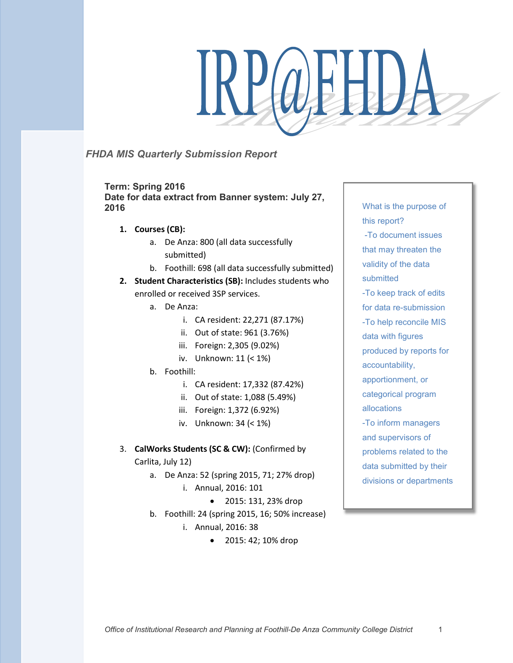# R POEL)

# *FHDA MIS Quarterly Submission Report*

**Term: Spring 2016 Date for data extract from Banner system: July 27, 2016**

- **1. Courses (CB):**
	- a. De Anza: 800 (all data successfully submitted)
	- b. Foothill: 698 (all data successfully submitted)
- **2. Student Characteristics (SB):** Includes students who enrolled or received 3SP services.
	- a. De Anza:
		- i. CA resident: 22,271 (87.17%)
		- ii. Out of state: 961 (3.76%)
		- iii. Foreign: 2,305 (9.02%)
		- iv. Unknown: 11 (< 1%)
	- b. Foothill:
		- i. CA resident: 17,332 (87.42%)
		- ii. Out of state: 1,088 (5.49%)
		- iii. Foreign: 1,372 (6.92%)
		- iv. Unknown: 34 (< 1%)

# 3. **CalWorks Students (SC & CW):** (Confirmed by Carlita, July 12)

- a. De Anza: 52 (spring 2015, 71; 27% drop) i. Annual, 2016: 101
	- 2015: 131, 23% drop
- b. Foothill: 24 (spring 2015, 16; 50% increase)
	- i. Annual, 2016: 38
		- 2015: 42; 10% drop

What is the purpose of this report? -To document issues that may threaten the validity of the data submitted -To keep track of edits for data re-submission -To help reconcile MIS data with figures produced by reports for accountability, apportionment, or categorical program allocations -To inform managers and supervisors of problems related to the data submitted by their divisions or departments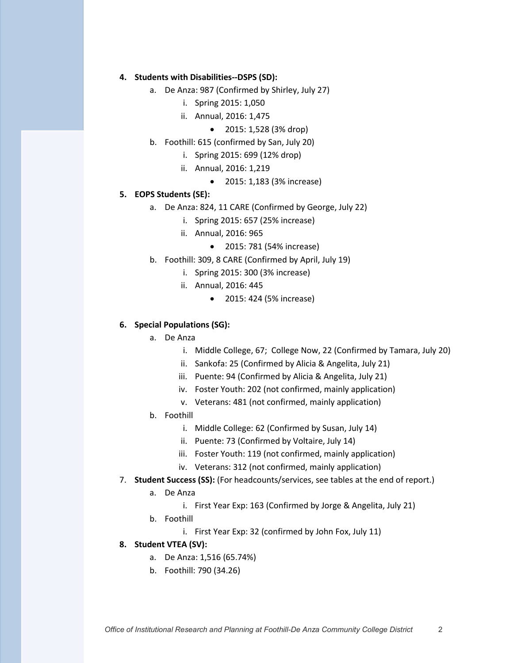### **4. Students with Disabilities--DSPS (SD):**

- a. De Anza: 987 (Confirmed by Shirley, July 27)
	- i. Spring 2015: 1,050
	- ii. Annual, 2016: 1,475
		- 2015: 1,528 (3% drop)
- b. Foothill: 615 (confirmed by San, July 20)
	- i. Spring 2015: 699 (12% drop)
	- ii. Annual, 2016: 1,219
		- 2015: 1,183 (3% increase)

### **5. EOPS Students (SE):**

- a. De Anza: 824, 11 CARE (Confirmed by George, July 22)
	- i. Spring 2015: 657 (25% increase)
	- ii. Annual, 2016: 965
		- 2015: 781 (54% increase)
- b. Foothill: 309, 8 CARE (Confirmed by April, July 19)
	- i. Spring 2015: 300 (3% increase)
	- ii. Annual, 2016: 445
		- 2015: 424 (5% increase)

#### **6. Special Populations (SG):**

- a. De Anza
	- i. Middle College, 67; College Now, 22 (Confirmed by Tamara, July 20)
	- ii. Sankofa: 25 (Confirmed by Alicia & Angelita, July 21)
	- iii. Puente: 94 (Confirmed by Alicia & Angelita, July 21)
	- iv. Foster Youth: 202 (not confirmed, mainly application)
	- v. Veterans: 481 (not confirmed, mainly application)
- b. Foothill
	- i. Middle College: 62 (Confirmed by Susan, July 14)
	- ii. Puente: 73 (Confirmed by Voltaire, July 14)
	- iii. Foster Youth: 119 (not confirmed, mainly application)
	- iv. Veterans: 312 (not confirmed, mainly application)
- 7. **Student Success (SS):** (For headcounts/services, see tables at the end of report.)
	- a. De Anza
		- i. First Year Exp: 163 (Confirmed by Jorge & Angelita, July 21)
	- b. Foothill
		- i. First Year Exp: 32 (confirmed by John Fox, July 11)

#### **8. Student VTEA (SV):**

- a. De Anza: 1,516 (65.74%)
- b. Foothill: 790 (34.26)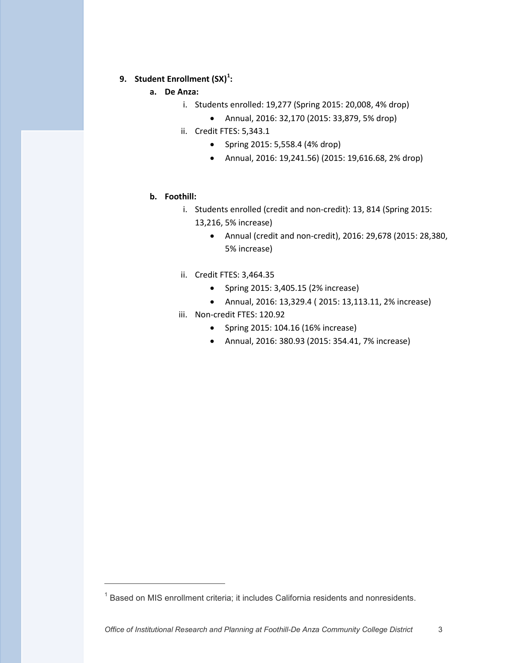# **9. Student Enrollment (SX)<sup>1</sup> :**

- **a. De Anza:**
	- i. Students enrolled: 19,277 (Spring 2015: 20,008, 4% drop)
		- Annual, 2016: 32,170 (2015: 33,879, 5% drop)
	- ii. Credit FTES: 5,343.1
		- Spring 2015: 5,558.4 (4% drop)
		- Annual, 2016: 19,241.56) (2015: 19,616.68, 2% drop)

#### **b. Foothill:**

-

- i. Students enrolled (credit and non-credit): 13, 814 (Spring 2015: 13,216, 5% increase)
	- Annual (credit and non-credit), 2016: 29,678 (2015: 28,380, 5% increase)
- ii. Credit FTES: 3,464.35
	- Spring 2015: 3,405.15 (2% increase)
	- Annual, 2016: 13,329.4 ( 2015: 13,113.11, 2% increase)
- iii. Non-credit FTES: 120.92
	- Spring 2015: 104.16 (16% increase)
	- Annual, 2016: 380.93 (2015: 354.41, 7% increase)

 $1$  Based on MIS enrollment criteria; it includes California residents and nonresidents.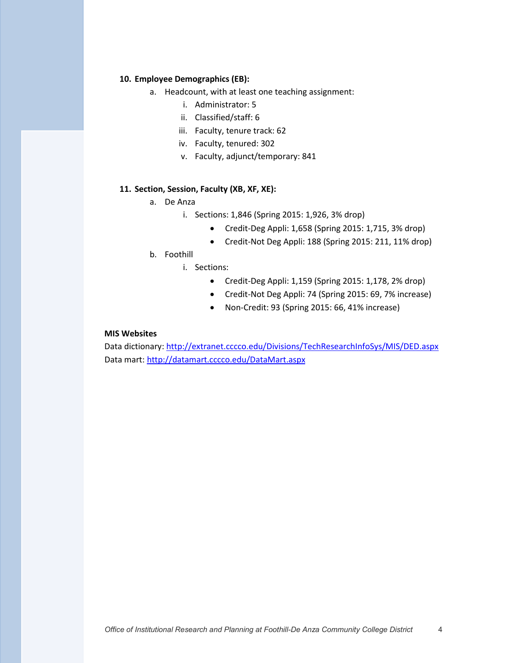## **10. Employee Demographics (EB):**

- a. Headcount, with at least one teaching assignment:
	- i. Administrator: 5
	- ii. Classified/staff: 6
	- iii. Faculty, tenure track: 62
	- iv. Faculty, tenured: 302
	- v. Faculty, adjunct/temporary: 841

# **11. Section, Session, Faculty (XB, XF, XE):**

- a. De Anza
	- i. Sections: 1,846 (Spring 2015: 1,926, 3% drop)
		- Credit-Deg Appli: 1,658 (Spring 2015: 1,715, 3% drop)
		- Credit-Not Deg Appli: 188 (Spring 2015: 211, 11% drop)
- b. Foothill
	- i. Sections:
		- Credit-Deg Appli: 1,159 (Spring 2015: 1,178, 2% drop)
		- Credit-Not Deg Appli: 74 (Spring 2015: 69, 7% increase)
		- Non-Credit: 93 (Spring 2015: 66, 41% increase)

#### **MIS Websites**

Data dictionary: http://extranet.cccco.edu/Divisions/TechResearchInfoSys/MIS/DED.aspx Data mart: http://datamart.cccco.edu/DataMart.aspx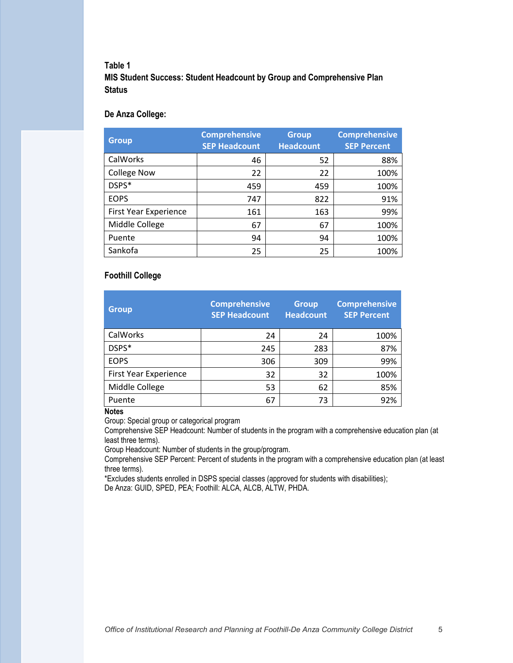# **Table 1**

**MIS Student Success: Student Headcount by Group and Comprehensive Plan Status**

## **De Anza College:**

| <b>Group</b>          | <b>Comprehensive</b><br><b>SEP Headcount</b> | <b>Group</b><br><b>Headcount</b> | <b>Comprehensive</b><br><b>SEP Percent</b> |
|-----------------------|----------------------------------------------|----------------------------------|--------------------------------------------|
| CalWorks              | 46                                           | 52                               | 88%                                        |
| <b>College Now</b>    | 22                                           | 22                               | 100%                                       |
| DSPS*                 | 459                                          | 459                              | 100%                                       |
| <b>EOPS</b>           | 747                                          | 822                              | 91%                                        |
| First Year Experience | 161                                          | 163                              | 99%                                        |
| Middle College        | 67                                           | 67                               | 100%                                       |
| Puente                | 94                                           | 94                               | 100%                                       |
| Sankofa               | 25                                           | 25                               | 100%                                       |

## **Foothill College**

| <b>Group</b>          | <b>Comprehensive</b><br><b>SEP Headcount</b> | <b>Group</b><br><b>Headcount</b> | <b>Comprehensive</b><br><b>SEP Percent</b> |  |
|-----------------------|----------------------------------------------|----------------------------------|--------------------------------------------|--|
| CalWorks              | 24                                           | 24                               | 100%                                       |  |
| DSPS*                 | 245                                          | 283                              | 87%                                        |  |
| <b>EOPS</b>           | 306                                          | 309                              | 99%                                        |  |
| First Year Experience | 32                                           | 32                               | 100%                                       |  |
| Middle College        | 53                                           | 62                               | 85%                                        |  |
| Puente                | 67                                           | 73                               | 92%                                        |  |

#### **Notes**

Group: Special group or categorical program

Comprehensive SEP Headcount: Number of students in the program with a comprehensive education plan (at least three terms).

Group Headcount: Number of students in the group/program.

Comprehensive SEP Percent: Percent of students in the program with a comprehensive education plan (at least three terms).

\*Excludes students enrolled in DSPS special classes (approved for students with disabilities);

De Anza: GUID, SPED, PEA; Foothill: ALCA, ALCB, ALTW, PHDA.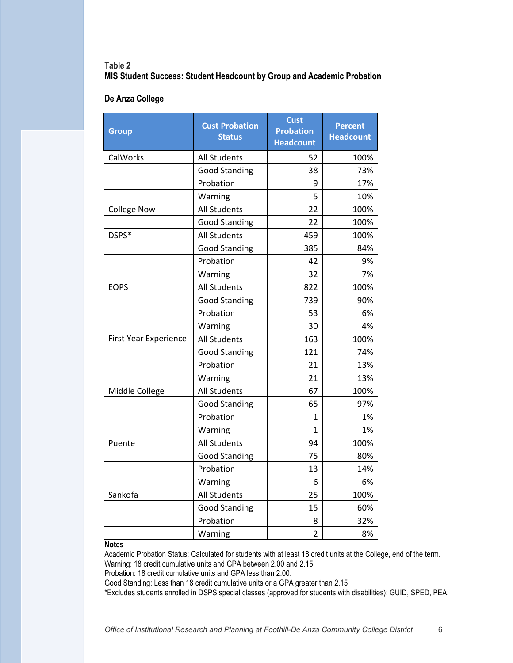## **Table 2 MIS Student Success: Student Headcount by Group and Academic Probation**

## **De Anza College**

| Group                        | <b>Cust Probation</b><br><b>Status</b> | <b>Cust</b><br><b>Probation</b><br><b>Headcount</b> | <b>Percent</b><br><b>Headcount</b> |  |
|------------------------------|----------------------------------------|-----------------------------------------------------|------------------------------------|--|
| CalWorks                     | <b>All Students</b>                    | 52                                                  | 100%                               |  |
|                              | <b>Good Standing</b>                   | 38                                                  | 73%                                |  |
|                              | Probation                              | 9                                                   | 17%                                |  |
|                              | Warning                                | 5                                                   | 10%                                |  |
| <b>College Now</b>           | All Students                           | 22                                                  | 100%                               |  |
|                              | <b>Good Standing</b>                   | 22                                                  | 100%                               |  |
| DSPS*                        | <b>All Students</b>                    | 459                                                 | 100%                               |  |
|                              | <b>Good Standing</b>                   | 385                                                 | 84%                                |  |
|                              | Probation                              | 42                                                  | 9%                                 |  |
|                              | Warning                                | 32                                                  | 7%                                 |  |
| <b>EOPS</b>                  | <b>All Students</b>                    | 822                                                 | 100%                               |  |
|                              | <b>Good Standing</b>                   | 739                                                 | 90%                                |  |
|                              | Probation                              | 53                                                  | 6%                                 |  |
|                              | Warning                                | 30                                                  | 4%                                 |  |
| <b>First Year Experience</b> | <b>All Students</b>                    | 163                                                 | 100%                               |  |
|                              | <b>Good Standing</b>                   | 121                                                 | 74%                                |  |
|                              | Probation                              | 21                                                  | 13%                                |  |
|                              | Warning                                | 21                                                  | 13%                                |  |
| Middle College               | <b>All Students</b>                    | 67                                                  | 100%                               |  |
|                              | <b>Good Standing</b>                   | 65                                                  | 97%                                |  |
|                              | Probation                              | 1                                                   | 1%                                 |  |
|                              | Warning                                | $\mathbf{1}$                                        | 1%                                 |  |
| Puente                       | <b>All Students</b>                    | 94                                                  | 100%                               |  |
|                              | <b>Good Standing</b>                   | 75                                                  | 80%                                |  |
|                              | Probation                              | 13                                                  | 14%                                |  |
|                              | Warning                                | 6                                                   | 6%                                 |  |
| Sankofa                      | <b>All Students</b>                    | 25                                                  | 100%                               |  |
|                              | <b>Good Standing</b>                   | 15                                                  | 60%                                |  |
|                              | Probation                              | 8                                                   | 32%                                |  |
|                              | Warning                                | $\overline{2}$                                      | 8%                                 |  |

### **Notes**

Academic Probation Status: Calculated for students with at least 18 credit units at the College, end of the term. Warning: 18 credit cumulative units and GPA between 2.00 and 2.15.

Probation: 18 credit cumulative units and GPA less than 2.00.

Good Standing: Less than 18 credit cumulative units or a GPA greater than 2.15

\*Excludes students enrolled in DSPS special classes (approved for students with disabilities): GUID, SPED, PEA.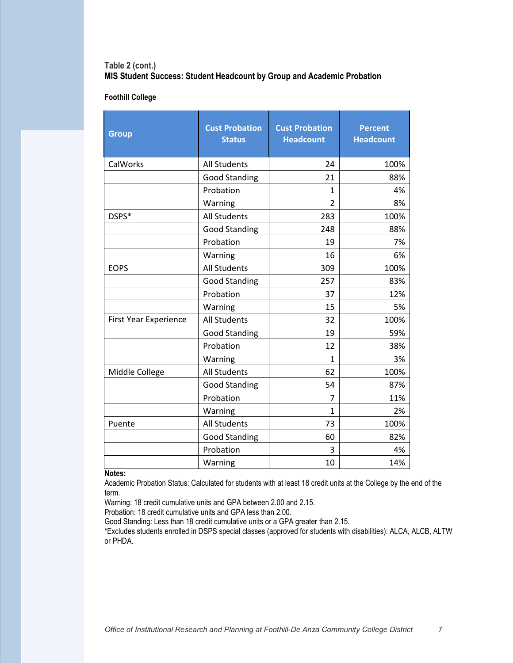# **Table 2 (cont.) MIS Student Success: Student Headcount by Group and Academic Probation**

### **Foothill College**

| <b>Group</b>          | <b>Cust Probation</b><br><b>Status</b> | <b>Cust Probation</b><br><b>Headcount</b> | <b>Percent</b><br><b>Headcount</b> |  |
|-----------------------|----------------------------------------|-------------------------------------------|------------------------------------|--|
| CalWorks              | <b>All Students</b>                    | 24                                        | 100%                               |  |
|                       | <b>Good Standing</b>                   | 21                                        | 88%                                |  |
|                       | Probation                              | $\mathbf{1}$                              | 4%                                 |  |
|                       | Warning                                | $\overline{2}$                            | 8%                                 |  |
| DSPS*                 | <b>All Students</b>                    | 283                                       | 100%                               |  |
|                       | <b>Good Standing</b>                   | 248                                       | 88%                                |  |
|                       | Probation                              | 19                                        | 7%                                 |  |
|                       | Warning                                | 16                                        | 6%                                 |  |
| <b>EOPS</b>           | <b>All Students</b>                    | 309                                       | 100%                               |  |
|                       | <b>Good Standing</b>                   | 257                                       | 83%                                |  |
|                       | Probation                              | 37                                        | 12%                                |  |
|                       | Warning                                | 15                                        | 5%                                 |  |
| First Year Experience | <b>All Students</b>                    | 32                                        | 100%                               |  |
|                       | <b>Good Standing</b>                   | 19                                        | 59%                                |  |
|                       | Probation                              | 12                                        | 38%                                |  |
|                       | Warning                                | 1                                         | 3%                                 |  |
| Middle College        | <b>All Students</b>                    | 62                                        | 100%                               |  |
|                       | <b>Good Standing</b>                   | 54                                        | 87%                                |  |
|                       | Probation                              | 7                                         | 11%                                |  |
|                       | Warning                                | 1                                         | 2%                                 |  |
| Puente                | <b>All Students</b>                    | 73                                        | 100%                               |  |
|                       | <b>Good Standing</b>                   | 60                                        | 82%                                |  |
|                       | Probation                              | 3                                         | 4%                                 |  |
|                       | Warning                                | 10                                        | 14%                                |  |

#### **Notes:**

Academic Probation Status: Calculated for students with at least 18 credit units at the College by the end of the term.

Warning: 18 credit cumulative units and GPA between 2.00 and 2.15.

Probation: 18 credit cumulative units and GPA less than 2.00.

Good Standing: Less than 18 credit cumulative units or a GPA greater than 2.15.

\*Excludes students enrolled in DSPS special classes (approved for students with disabilities): ALCA, ALCB, ALTW or PHDA.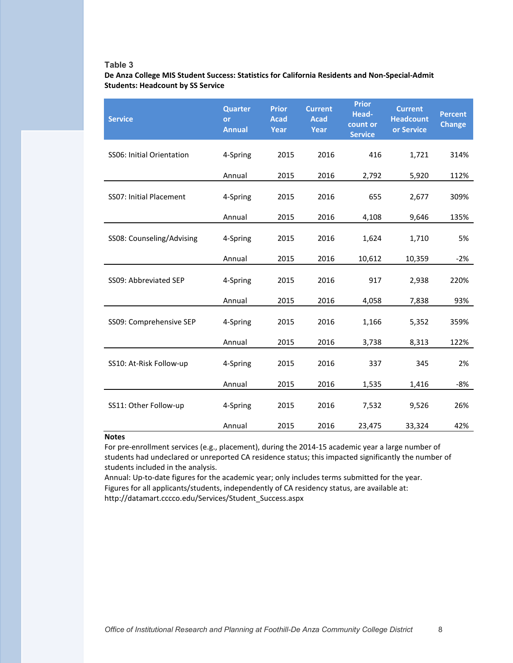### **Table 3**

**De Anza College MIS Student Success: Statistics for California Residents and Non-Special-Admit Students: Headcount by SS Service**

| <b>Service</b>                 | <b>Quarter</b><br><b>or</b><br><b>Annual</b> | <b>Prior</b><br><b>Acad</b><br>Year | <b>Current</b><br><b>Acad</b><br>Year | <b>Prior</b><br>Head-<br>count or<br><b>Service</b> | <b>Current</b><br><b>Headcount</b><br>or Service | <b>Percent</b><br><b>Change</b> |
|--------------------------------|----------------------------------------------|-------------------------------------|---------------------------------------|-----------------------------------------------------|--------------------------------------------------|---------------------------------|
| SS06: Initial Orientation      | 4-Spring                                     | 2015                                | 2016                                  | 416                                                 | 1,721                                            | 314%                            |
|                                | Annual                                       | 2015                                | 2016                                  | 2,792                                               | 5,920                                            | 112%                            |
| <b>SS07: Initial Placement</b> | 4-Spring                                     | 2015                                | 2016                                  | 655                                                 | 2,677                                            | 309%                            |
|                                | Annual                                       | 2015                                | 2016                                  | 4,108                                               | 9,646                                            | 135%                            |
| SS08: Counseling/Advising      | 4-Spring                                     | 2015                                | 2016                                  | 1,624                                               | 1,710                                            | 5%                              |
|                                | Annual                                       | 2015                                | 2016                                  | 10,612                                              | 10,359                                           | $-2%$                           |
| SS09: Abbreviated SEP          | 4-Spring                                     | 2015                                | 2016                                  | 917                                                 | 2,938                                            | 220%                            |
|                                | Annual                                       | 2015                                | 2016                                  | 4,058                                               | 7,838                                            | 93%                             |
| SS09: Comprehensive SEP        | 4-Spring                                     | 2015                                | 2016                                  | 1,166                                               | 5,352                                            | 359%                            |
|                                | Annual                                       | 2015                                | 2016                                  | 3,738                                               | 8,313                                            | 122%                            |
| SS10: At-Risk Follow-up        | 4-Spring                                     | 2015                                | 2016                                  | 337                                                 | 345                                              | 2%                              |
|                                | Annual                                       | 2015                                | 2016                                  | 1,535                                               | 1,416                                            | -8%                             |
| SS11: Other Follow-up          | 4-Spring                                     | 2015                                | 2016                                  | 7,532                                               | 9,526                                            | 26%                             |
|                                | Annual                                       | 2015                                | 2016                                  | 23,475                                              | 33,324                                           | 42%                             |

## **Notes**

For pre-enrollment services (e.g., placement), during the 2014-15 academic year a large number of students had undeclared or unreported CA residence status; this impacted significantly the number of students included in the analysis.

Annual: Up-to-date figures for the academic year; only includes terms submitted for the year. Figures for all applicants/students, independently of CA residency status, are available at: http://datamart.cccco.edu/Services/Student\_Success.aspx